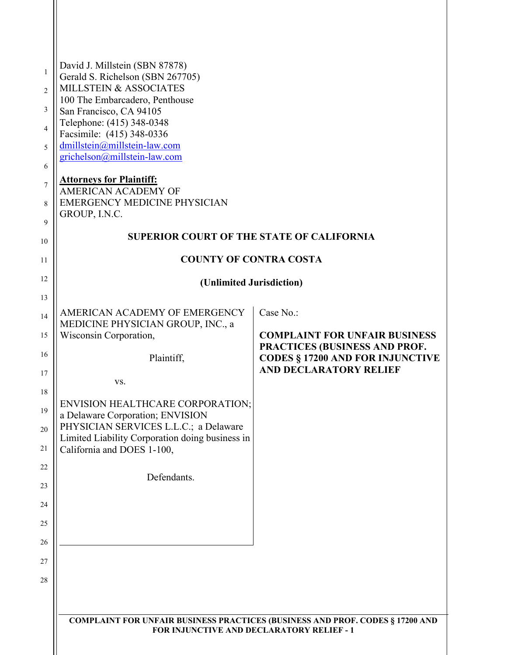| David J. Millstein (SBN 87878)<br>Gerald S. Richelson (SBN 267705)<br>MILLSTEIN & ASSOCIATES<br>100 The Embarcadero, Penthouse<br>San Francisco, CA 94105<br>Telephone: (415) 348-0348         |                                                                                                           |  |
|------------------------------------------------------------------------------------------------------------------------------------------------------------------------------------------------|-----------------------------------------------------------------------------------------------------------|--|
| Facsimile: (415) 348-0336<br>dmillstein@millstein-law.com<br>grichelson@millstein-law.com                                                                                                      |                                                                                                           |  |
| <b>Attorneys for Plaintiff:</b><br>AMERICAN ACADEMY OF<br><b>EMERGENCY MEDICINE PHYSICIAN</b><br>GROUP, I.N.C.                                                                                 |                                                                                                           |  |
| <b>SUPERIOR COURT OF THE STATE OF CALIFORNIA</b>                                                                                                                                               |                                                                                                           |  |
| <b>COUNTY OF CONTRA COSTA</b>                                                                                                                                                                  |                                                                                                           |  |
| (Unlimited Jurisdiction)                                                                                                                                                                       |                                                                                                           |  |
| AMERICAN ACADEMY OF EMERGENCY<br>MEDICINE PHYSICIAN GROUP, INC., a<br>Wisconsin Corporation,                                                                                                   | Case No.:<br><b>COMPLAINT FOR UNFAIR BUSINESS</b>                                                         |  |
| Plaintiff,<br>VS.                                                                                                                                                                              | PRACTICES (BUSINESS AND PROF.<br><b>CODES § 17200 AND FOR INJUNCTIVE</b><br><b>AND DECLARATORY RELIEF</b> |  |
| ENVISION HEALTHCARE CORPORATION;<br>a Delaware Corporation; ENVISION<br>PHYSICIAN SERVICES L.L.C.; a Delaware<br>Limited Liability Corporation doing business in<br>California and DOES 1-100, |                                                                                                           |  |
| Defendants.                                                                                                                                                                                    |                                                                                                           |  |
|                                                                                                                                                                                                |                                                                                                           |  |
|                                                                                                                                                                                                |                                                                                                           |  |
|                                                                                                                                                                                                |                                                                                                           |  |
| <b>COMPLAINT FOR UNFAIR BUSINESS PRACTICES (BUSINESS AND PROF. CODES § 17200 AND</b><br><b>FOR INJUNCTIVE AND DECLARATORY RELIEF - 1</b>                                                       |                                                                                                           |  |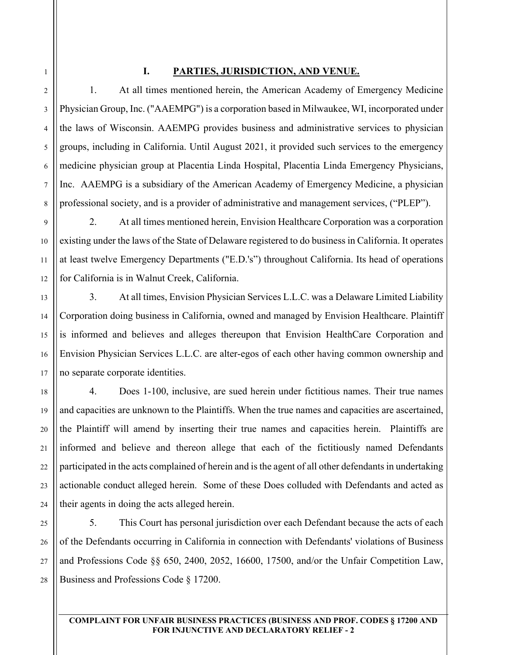1

2

3

4

5

6

7

8

9

10

11

12

13

14

15

16

17

18

19

20

21

22

23

24

## **I. PARTIES, JURISDICTION, AND VENUE.**

1. At all times mentioned herein, the American Academy of Emergency Medicine Physician Group, Inc. ("AAEMPG") is a corporation based in Milwaukee, WI, incorporated under the laws of Wisconsin. AAEMPG provides business and administrative services to physician groups, including in California. Until August 2021, it provided such services to the emergency medicine physician group at Placentia Linda Hospital, Placentia Linda Emergency Physicians, Inc. AAEMPG is a subsidiary of the American Academy of Emergency Medicine, a physician professional society, and is a provider of administrative and management services, ("PLEP").

2. At all times mentioned herein, Envision Healthcare Corporation was a corporation existing under the laws of the State of Delaware registered to do business in California. It operates at least twelve Emergency Departments ("E.D.'s") throughout California. Its head of operations for California is in Walnut Creek, California.

3. At all times, Envision Physician Services L.L.C. was a Delaware Limited Liability Corporation doing business in California, owned and managed by Envision Healthcare. Plaintiff is informed and believes and alleges thereupon that Envision HealthCare Corporation and Envision Physician Services L.L.C. are alter-egos of each other having common ownership and no separate corporate identities.

4. Does 1-100, inclusive, are sued herein under fictitious names. Their true names and capacities are unknown to the Plaintiffs. When the true names and capacities are ascertained, the Plaintiff will amend by inserting their true names and capacities herein. Plaintiffs are informed and believe and thereon allege that each of the fictitiously named Defendants participated in the acts complained of herein and is the agent of all other defendants in undertaking actionable conduct alleged herein. Some of these Does colluded with Defendants and acted as their agents in doing the acts alleged herein.

25 26 27 28 5. This Court has personal jurisdiction over each Defendant because the acts of each of the Defendants occurring in California in connection with Defendants' violations of Business and Professions Code §§ 650, 2400, 2052, 16600, 17500, and/or the Unfair Competition Law, Business and Professions Code § 17200.

### **COMPLAINT FOR UNFAIR BUSINESS PRACTICES (BUSINESS AND PROF. CODES § 17200 AND FOR INJUNCTIVE AND DECLARATORY RELIEF - 2**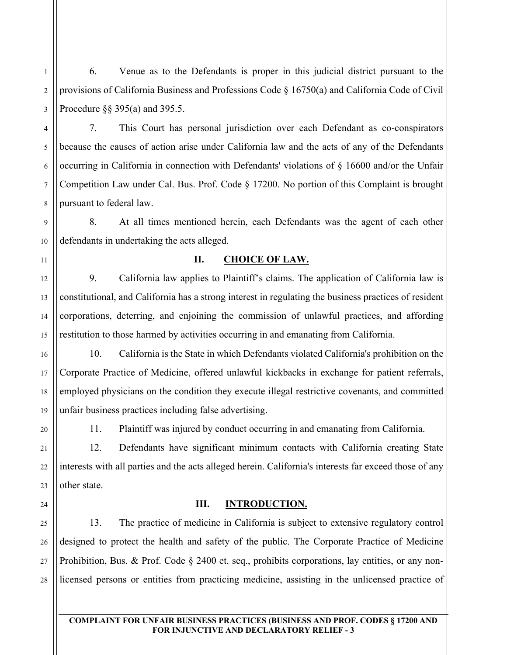6. Venue as to the Defendants is proper in this judicial district pursuant to the provisions of California Business and Professions Code § 16750(a) and California Code of Civil Procedure §§ 395(a) and 395.5.

7. This Court has personal jurisdiction over each Defendant as co-conspirators because the causes of action arise under California law and the acts of any of the Defendants occurring in California in connection with Defendants' violations of § 16600 and/or the Unfair Competition Law under Cal. Bus. Prof. Code § 17200. No portion of this Complaint is brought pursuant to federal law.

8. At all times mentioned herein, each Defendants was the agent of each other defendants in undertaking the acts alleged.

## **II. CHOICE OF LAW.**

9. California law applies to Plaintiff's claims. The application of California law is constitutional, and California has a strong interest in regulating the business practices of resident corporations, deterring, and enjoining the commission of unlawful practices, and affording restitution to those harmed by activities occurring in and emanating from California.

10. California is the State in which Defendants violated California's prohibition on the Corporate Practice of Medicine, offered unlawful kickbacks in exchange for patient referrals, employed physicians on the condition they execute illegal restrictive covenants, and committed unfair business practices including false advertising.

1

2

3

4

5

6

7

8

9

10

11

12

13

14

15

16

17

18

19

20

21

22

23

24

25

26

27

28

11. Plaintiff was injured by conduct occurring in and emanating from California.

12. Defendants have significant minimum contacts with California creating State interests with all parties and the acts alleged herein. California's interests far exceed those of any other state.

### **III. INTRODUCTION.**

13. The practice of medicine in California is subject to extensive regulatory control designed to protect the health and safety of the public. The Corporate Practice of Medicine Prohibition, Bus. & Prof. Code § 2400 et. seq., prohibits corporations, lay entities, or any nonlicensed persons or entities from practicing medicine, assisting in the unlicensed practice of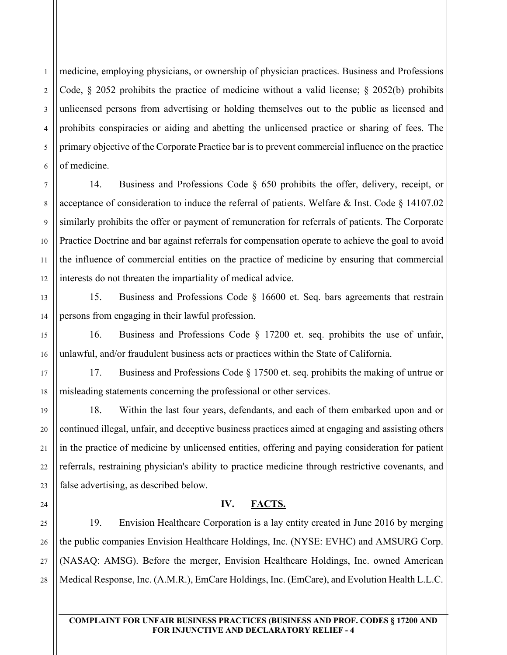6 medicine, employing physicians, or ownership of physician practices. Business and Professions Code, § 2052 prohibits the practice of medicine without a valid license; § 2052(b) prohibits unlicensed persons from advertising or holding themselves out to the public as licensed and prohibits conspiracies or aiding and abetting the unlicensed practice or sharing of fees. The primary objective of the Corporate Practice bar is to prevent commercial influence on the practice of medicine.

14. Business and Professions Code § 650 prohibits the offer, delivery, receipt, or acceptance of consideration to induce the referral of patients. Welfare & Inst. Code  $\S$  14107.02 similarly prohibits the offer or payment of remuneration for referrals of patients. The Corporate Practice Doctrine and bar against referrals for compensation operate to achieve the goal to avoid the influence of commercial entities on the practice of medicine by ensuring that commercial interests do not threaten the impartiality of medical advice.

15. Business and Professions Code § 16600 et. Seq. bars agreements that restrain persons from engaging in their lawful profession.

16. Business and Professions Code § 17200 et. seq. prohibits the use of unfair, unlawful, and/or fraudulent business acts or practices within the State of California.

17. Business and Professions Code § 17500 et. seq. prohibits the making of untrue or misleading statements concerning the professional or other services.

18. Within the last four years, defendants, and each of them embarked upon and or continued illegal, unfair, and deceptive business practices aimed at engaging and assisting others in the practice of medicine by unlicensed entities, offering and paying consideration for patient referrals, restraining physician's ability to practice medicine through restrictive covenants, and false advertising, as described below.

## **IV. FACTS.**

19. Envision Healthcare Corporation is a lay entity created in June 2016 by merging the public companies Envision Healthcare Holdings, Inc. (NYSE: EVHC) and AMSURG Corp. (NASAQ: AMSG). Before the merger, Envision Healthcare Holdings, Inc. owned American Medical Response, Inc. (A.M.R.), EmCare Holdings, Inc. (EmCare), and Evolution Health L.L.C.

**FOR INJUNCTIVE AND DECLARATORY RELIEF - 4**

**COMPLAINT FOR UNFAIR BUSINESS PRACTICES (BUSINESS AND PROF. CODES § 17200 AND** 

1

2

3

4

5

7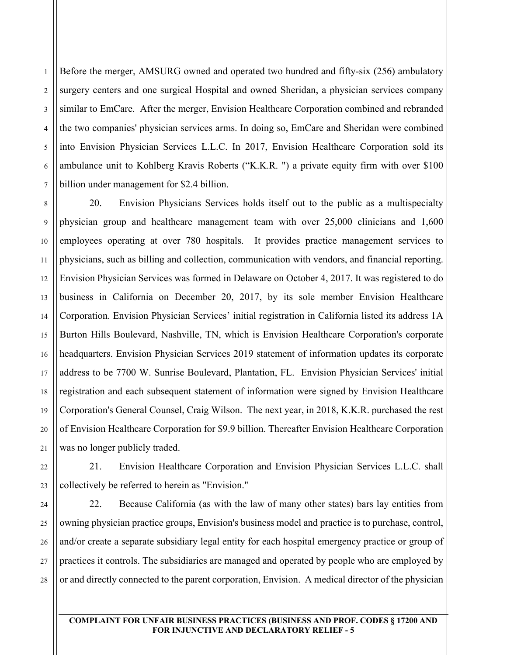2 3 4 Before the merger, AMSURG owned and operated two hundred and fifty-six (256) ambulatory surgery centers and one surgical Hospital and owned Sheridan, a physician services company similar to EmCare. After the merger, Envision Healthcare Corporation combined and rebranded the two companies' physician services arms. In doing so, EmCare and Sheridan were combined into Envision Physician Services L.L.C. In 2017, Envision Healthcare Corporation sold its ambulance unit to Kohlberg Kravis Roberts ("K.K.R. ") a private equity firm with over \$100 billion under management for \$2.4 billion.

20. Envision Physicians Services holds itself out to the public as a multispecialty physician group and healthcare management team with over 25,000 clinicians and 1,600 employees operating at over 780 hospitals. It provides practice management services to physicians, such as billing and collection, communication with vendors, and financial reporting. Envision Physician Services was formed in Delaware on October 4, 2017. It was registered to do business in California on December 20, 2017, by its sole member Envision Healthcare Corporation. Envision Physician Services' initial registration in California listed its address 1A Burton Hills Boulevard, Nashville, TN, which is Envision Healthcare Corporation's corporate headquarters. Envision Physician Services 2019 statement of information updates its corporate address to be 7700 W. Sunrise Boulevard, Plantation, FL. Envision Physician Services' initial registration and each subsequent statement of information were signed by Envision Healthcare Corporation's General Counsel, Craig Wilson. The next year, in 2018, K.K.R. purchased the rest of Envision Healthcare Corporation for \$9.9 billion. Thereafter Envision Healthcare Corporation was no longer publicly traded.

21. Envision Healthcare Corporation and Envision Physician Services L.L.C. shall collectively be referred to herein as "Envision."

22. Because California (as with the law of many other states) bars lay entities from owning physician practice groups, Envision's business model and practice is to purchase, control, and/or create a separate subsidiary legal entity for each hospital emergency practice or group of practices it controls. The subsidiaries are managed and operated by people who are employed by or and directly connected to the parent corporation, Envision. A medical director of the physician

**COMPLAINT FOR UNFAIR BUSINESS PRACTICES (BUSINESS AND PROF. CODES § 17200 AND FOR INJUNCTIVE AND DECLARATORY RELIEF - 5**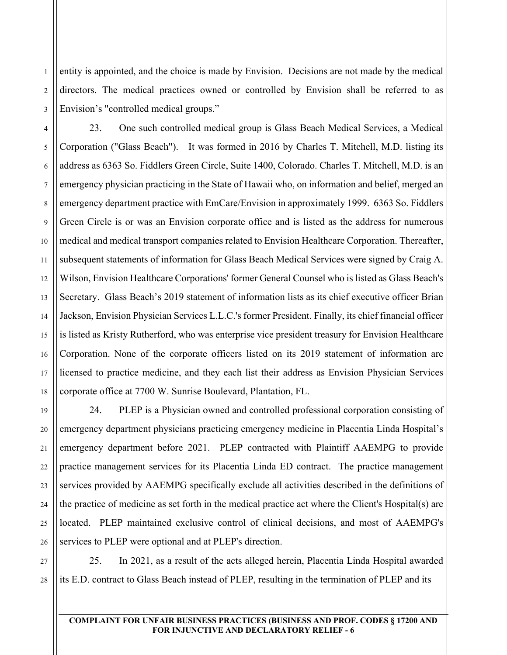entity is appointed, and the choice is made by Envision. Decisions are not made by the medical directors. The medical practices owned or controlled by Envision shall be referred to as Envision's "controlled medical groups."

6 23. One such controlled medical group is Glass Beach Medical Services, a Medical Corporation ("Glass Beach"). It was formed in 2016 by Charles T. Mitchell, M.D. listing its address as 6363 So. Fiddlers Green Circle, Suite 1400, Colorado. Charles T. Mitchell, M.D. is an emergency physician practicing in the State of Hawaii who, on information and belief, merged an emergency department practice with EmCare/Envision in approximately 1999. 6363 So. Fiddlers Green Circle is or was an Envision corporate office and is listed as the address for numerous medical and medical transport companies related to Envision Healthcare Corporation. Thereafter, subsequent statements of information for Glass Beach Medical Services were signed by Craig A. Wilson, Envision Healthcare Corporations' former General Counsel who is listed as Glass Beach's Secretary. Glass Beach's 2019 statement of information lists as its chief executive officer Brian Jackson, Envision Physician Services L.L.C.'s former President. Finally, its chief financial officer is listed as Kristy Rutherford, who was enterprise vice president treasury for Envision Healthcare Corporation. None of the corporate officers listed on its 2019 statement of information are licensed to practice medicine, and they each list their address as Envision Physician Services corporate office at 7700 W. Sunrise Boulevard, Plantation, FL.

24. PLEP is a Physician owned and controlled professional corporation consisting of emergency department physicians practicing emergency medicine in Placentia Linda Hospital's emergency department before 2021. PLEP contracted with Plaintiff AAEMPG to provide practice management services for its Placentia Linda ED contract. The practice management services provided by AAEMPG specifically exclude all activities described in the definitions of the practice of medicine as set forth in the medical practice act where the Client's Hospital(s) are located. PLEP maintained exclusive control of clinical decisions, and most of AAEMPG's services to PLEP were optional and at PLEP's direction.

25. In 2021, as a result of the acts alleged herein, Placentia Linda Hospital awarded its E.D. contract to Glass Beach instead of PLEP, resulting in the termination of PLEP and its

1

2

3

4

5

7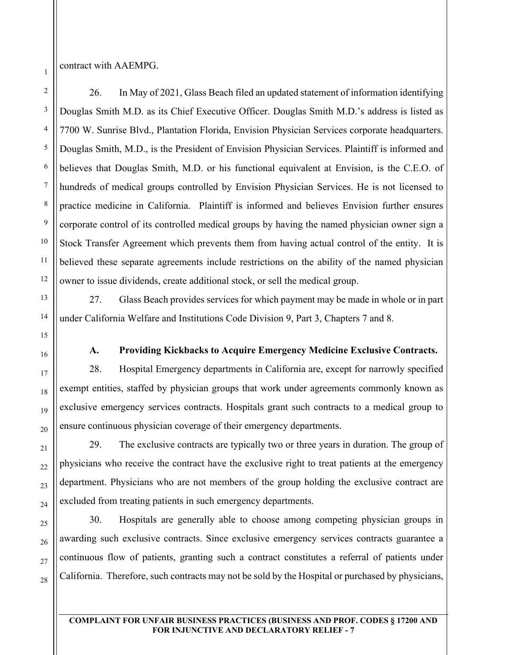contract with AAEMPG.

26. In May of 2021, Glass Beach filed an updated statement of information identifying Douglas Smith M.D. as its Chief Executive Officer. Douglas Smith M.D.'s address is listed as 7700 W. Sunrise Blvd., Plantation Florida, Envision Physician Services corporate headquarters. Douglas Smith, M.D., is the President of Envision Physician Services. Plaintiff is informed and believes that Douglas Smith, M.D. or his functional equivalent at Envision, is the C.E.O. of hundreds of medical groups controlled by Envision Physician Services. He is not licensed to practice medicine in California. Plaintiff is informed and believes Envision further ensures corporate control of its controlled medical groups by having the named physician owner sign a Stock Transfer Agreement which prevents them from having actual control of the entity. It is believed these separate agreements include restrictions on the ability of the named physician owner to issue dividends, create additional stock, or sell the medical group.

27. Glass Beach provides services for which payment may be made in whole or in part under California Welfare and Institutions Code Division 9, Part 3, Chapters 7 and 8.

**A. Providing Kickbacks to Acquire Emergency Medicine Exclusive Contracts.** 

28. Hospital Emergency departments in California are, except for narrowly specified exempt entities, staffed by physician groups that work under agreements commonly known as exclusive emergency services contracts. Hospitals grant such contracts to a medical group to ensure continuous physician coverage of their emergency departments.

29. The exclusive contracts are typically two or three years in duration. The group of physicians who receive the contract have the exclusive right to treat patients at the emergency department. Physicians who are not members of the group holding the exclusive contract are excluded from treating patients in such emergency departments.

30. Hospitals are generally able to choose among competing physician groups in awarding such exclusive contracts. Since exclusive emergency services contracts guarantee a continuous flow of patients, granting such a contract constitutes a referral of patients under California. Therefore, such contracts may not be sold by the Hospital or purchased by physicians,

1

2

3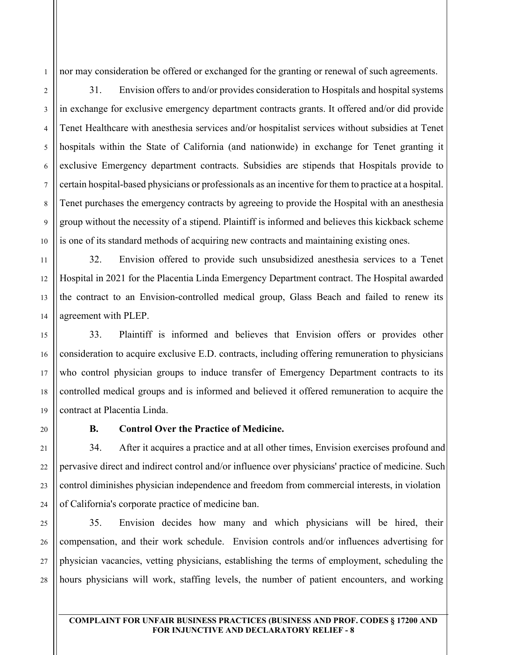nor may consideration be offered or exchanged for the granting or renewal of such agreements.

31. Envision offers to and/or provides consideration to Hospitals and hospital systems in exchange for exclusive emergency department contracts grants. It offered and/or did provide Tenet Healthcare with anesthesia services and/or hospitalist services without subsidies at Tenet hospitals within the State of California (and nationwide) in exchange for Tenet granting it exclusive Emergency department contracts. Subsidies are stipends that Hospitals provide to certain hospital-based physicians or professionals as an incentive for them to practice at a hospital. Tenet purchases the emergency contracts by agreeing to provide the Hospital with an anesthesia group without the necessity of a stipend. Plaintiff is informed and believes this kickback scheme is one of its standard methods of acquiring new contracts and maintaining existing ones.

32. Envision offered to provide such unsubsidized anesthesia services to a Tenet Hospital in 2021 for the Placentia Linda Emergency Department contract. The Hospital awarded the contract to an Envision-controlled medical group, Glass Beach and failed to renew its agreement with PLEP.

33. Plaintiff is informed and believes that Envision offers or provides other consideration to acquire exclusive E.D. contracts, including offering remuneration to physicians who control physician groups to induce transfer of Emergency Department contracts to its controlled medical groups and is informed and believed it offered remuneration to acquire the contract at Placentia Linda.

### **B. Control Over the Practice of Medicine.**

34. After it acquires a practice and at all other times, Envision exercises profound and pervasive direct and indirect control and/or influence over physicians' practice of medicine. Such control diminishes physician independence and freedom from commercial interests, in violation of California's corporate practice of medicine ban.

35. Envision decides how many and which physicians will be hired, their compensation, and their work schedule. Envision controls and/or influences advertising for physician vacancies, vetting physicians, establishing the terms of employment, scheduling the hours physicians will work, staffing levels, the number of patient encounters, and working

1

2

3

4

5

6

7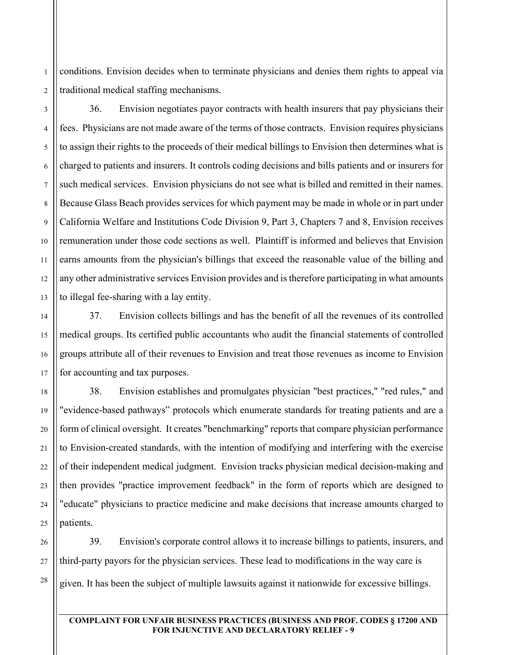2 conditions. Envision decides when to terminate physicians and denies them rights to appeal via traditional medical staffing mechanisms.

36. Envision negotiates payor contracts with health insurers that pay physicians their fees. Physicians are not made aware of the terms of those contracts. Envision requires physicians to assign their rights to the proceeds of their medical billings to Envision then determines what is charged to patients and insurers. It controls coding decisions and bills patients and or insurers for such medical services. Envision physicians do not see what is billed and remitted in their names. Because Glass Beach provides services for which payment may be made in whole or in part under California Welfare and Institutions Code Division 9, Part 3, Chapters 7 and 8, Envision receives remuneration under those code sections as well. Plaintiff is informed and believes that Envision earns amounts from the physician's billings that exceed the reasonable value of the billing and any other administrative services Envision provides and is therefore participating in what amounts to illegal fee-sharing with a lay entity.

37. Envision collects billings and has the benefit of all the revenues of its controlled medical groups. Its certified public accountants who audit the financial statements of controlled groups attribute all of their revenues to Envision and treat those revenues as income to Envision for accounting and tax purposes.

38. Envision establishes and promulgates physician "best practices," "red rules," and "evidence-based pathways" protocols which enumerate standards for treating patients and are a form of clinical oversight. It creates "benchmarking" reports that compare physician performance to Envision-created standards, with the intention of modifying and interfering with the exercise of their independent medical judgment. Envision tracks physician medical decision-making and then provides "practice improvement feedback" in the form of reports which are designed to "educate" physicians to practice medicine and make decisions that increase amounts charged to patients.

39. Envision's corporate control allows it to increase billings to patients, insurers, and third-party payors for the physician services. These lead to modifications in the way care is given. It has been the subject of multiple lawsuits against it nationwide for excessive billings.

#### **COMPLAINT FOR UNFAIR BUSINESS PRACTICES (BUSINESS AND PROF. CODES § 17200 AND FOR INJUNCTIVE AND DECLARATORY RELIEF - 9**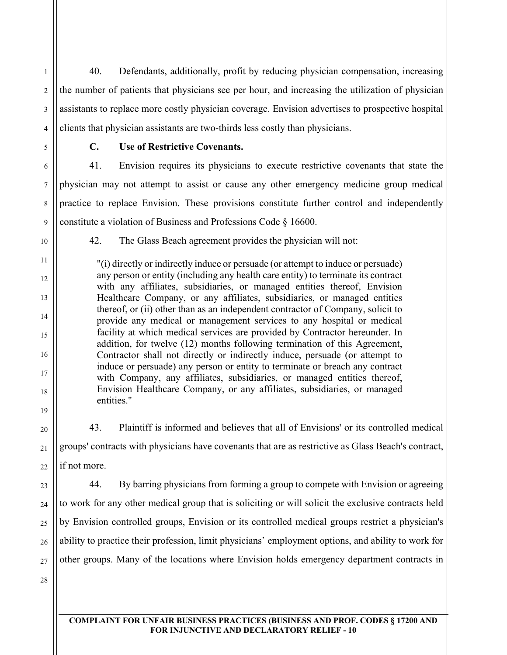40. Defendants, additionally, profit by reducing physician compensation, increasing the number of patients that physicians see per hour, and increasing the utilization of physician assistants to replace more costly physician coverage. Envision advertises to prospective hospital clients that physician assistants are two-thirds less costly than physicians.

1

2

3

4

5

6

7

8

9

10

11

12

13

14

15

16

17

18

19

20

21

22

23

24

25

26

27

# **C. Use of Restrictive Covenants.**

41. Envision requires its physicians to execute restrictive covenants that state the physician may not attempt to assist or cause any other emergency medicine group medical practice to replace Envision. These provisions constitute further control and independently constitute a violation of Business and Professions Code § 16600.

42. The Glass Beach agreement provides the physician will not:

"(i) directly or indirectly induce or persuade (or attempt to induce or persuade) any person or entity (including any health care entity) to terminate its contract with any affiliates, subsidiaries, or managed entities thereof, Envision Healthcare Company, or any affiliates, subsidiaries, or managed entities thereof, or (ii) other than as an independent contractor of Company, solicit to provide any medical or management services to any hospital or medical facility at which medical services are provided by Contractor hereunder. In addition, for twelve (12) months following termination of this Agreement, Contractor shall not directly or indirectly induce, persuade (or attempt to induce or persuade) any person or entity to terminate or breach any contract with Company, any affiliates, subsidiaries, or managed entities thereof, Envision Healthcare Company, or any affiliates, subsidiaries, or managed entities."

43. Plaintiff is informed and believes that all of Envisions' or its controlled medical groups' contracts with physicians have covenants that are as restrictive as Glass Beach's contract, if not more.

44. By barring physicians from forming a group to compete with Envision or agreeing to work for any other medical group that is soliciting or will solicit the exclusive contracts held by Envision controlled groups, Envision or its controlled medical groups restrict a physician's ability to practice their profession, limit physicians' employment options, and ability to work for other groups. Many of the locations where Envision holds emergency department contracts in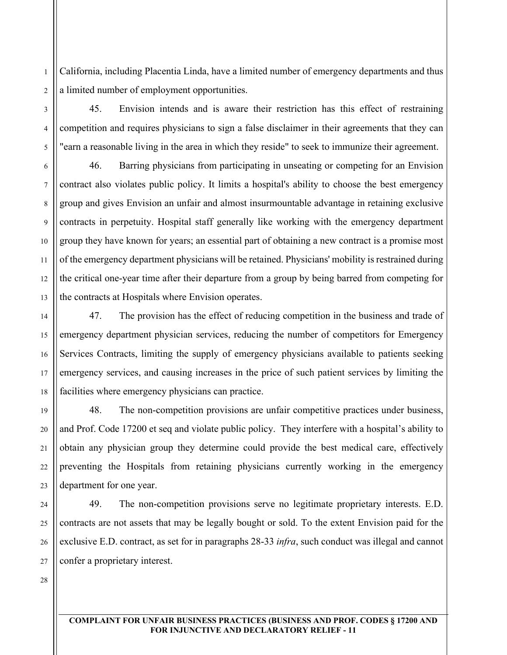2 California, including Placentia Linda, have a limited number of emergency departments and thus a limited number of employment opportunities.

45. Envision intends and is aware their restriction has this effect of restraining competition and requires physicians to sign a false disclaimer in their agreements that they can "earn a reasonable living in the area in which they reside" to seek to immunize their agreement.

46. Barring physicians from participating in unseating or competing for an Envision contract also violates public policy. It limits a hospital's ability to choose the best emergency group and gives Envision an unfair and almost insurmountable advantage in retaining exclusive contracts in perpetuity. Hospital staff generally like working with the emergency department group they have known for years; an essential part of obtaining a new contract is a promise most of the emergency department physicians will be retained. Physicians' mobility is restrained during the critical one-year time after their departure from a group by being barred from competing for the contracts at Hospitals where Envision operates.

47. The provision has the effect of reducing competition in the business and trade of emergency department physician services, reducing the number of competitors for Emergency Services Contracts, limiting the supply of emergency physicians available to patients seeking emergency services, and causing increases in the price of such patient services by limiting the facilities where emergency physicians can practice.

48. The non-competition provisions are unfair competitive practices under business, and Prof. Code 17200 et seq and violate public policy. They interfere with a hospital's ability to obtain any physician group they determine could provide the best medical care, effectively preventing the Hospitals from retaining physicians currently working in the emergency department for one year.

49. The non-competition provisions serve no legitimate proprietary interests. E.D. contracts are not assets that may be legally bought or sold. To the extent Envision paid for the exclusive E.D. contract, as set for in paragraphs 28-33 *infra*, such conduct was illegal and cannot confer a proprietary interest.

28

1

3

4

5

6

7

8

9

10

11

12

13

14

15

16

17

18

19

20

21

22

23

24

25

26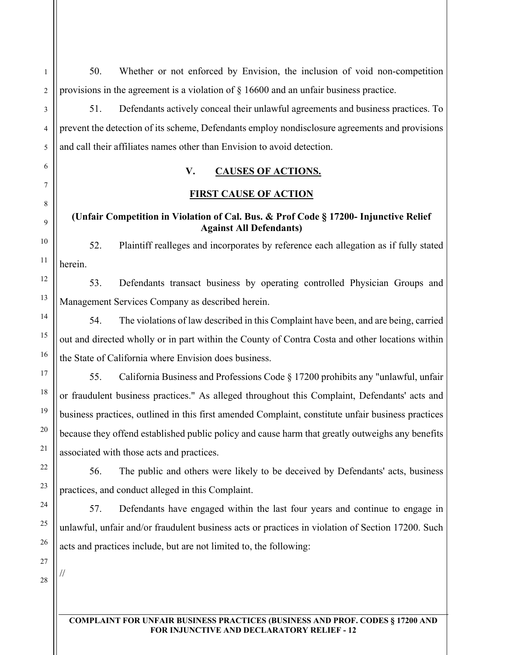50. Whether or not enforced by Envision, the inclusion of void non-competition provisions in the agreement is a violation of § 16600 and an unfair business practice.

51. Defendants actively conceal their unlawful agreements and business practices. To prevent the detection of its scheme, Defendants employ nondisclosure agreements and provisions and call their affiliates names other than Envision to avoid detection.

# **V. CAUSES OF ACTIONS.**

## **FIRST CAUSE OF ACTION**

## **(Unfair Competition in Violation of Cal. Bus. & Prof Code § 17200- Injunctive Relief Against All Defendants)**

52. Plaintiff realleges and incorporates by reference each allegation as if fully stated herein.

53. Defendants transact business by operating controlled Physician Groups and Management Services Company as described herein.

54. The violations of law described in this Complaint have been, and are being, carried out and directed wholly or in part within the County of Contra Costa and other locations within the State of California where Envision does business.

55. California Business and Professions Code § 17200 prohibits any "unlawful, unfair or fraudulent business practices." As alleged throughout this Complaint, Defendants' acts and business practices, outlined in this first amended Complaint, constitute unfair business practices because they offend established public policy and cause harm that greatly outweighs any benefits associated with those acts and practices.

56. The public and others were likely to be deceived by Defendants' acts, business practices, and conduct alleged in this Complaint.

57. Defendants have engaged within the last four years and continue to engage in unlawful, unfair and/or fraudulent business acts or practices in violation of Section 17200. Such acts and practices include, but are not limited to, the following:

//

1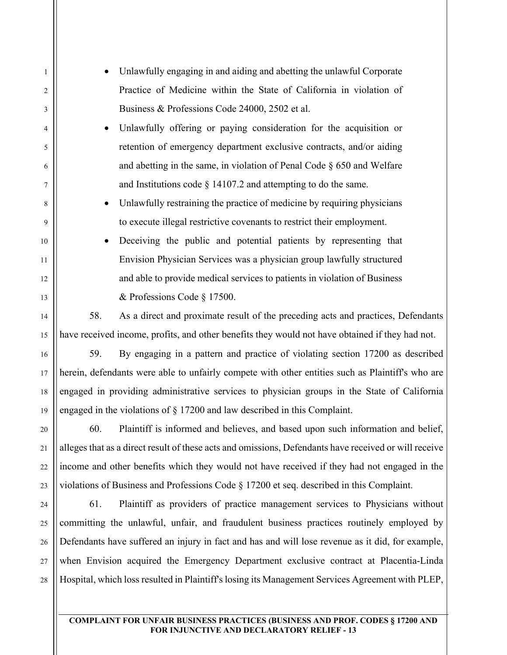- Unlawfully engaging in and aiding and abetting the unlawful Corporate Practice of Medicine within the State of California in violation of Business & Professions Code 24000, 2502 et al.
- Unlawfully offering or paying consideration for the acquisition or retention of emergency department exclusive contracts, and/or aiding and abetting in the same, in violation of Penal Code § 650 and Welfare and Institutions code § 14107.2 and attempting to do the same.
- Unlawfully restraining the practice of medicine by requiring physicians to execute illegal restrictive covenants to restrict their employment.
- Deceiving the public and potential patients by representing that Envision Physician Services was a physician group lawfully structured and able to provide medical services to patients in violation of Business & Professions Code § 17500.

58. As a direct and proximate result of the preceding acts and practices, Defendants have received income, profits, and other benefits they would not have obtained if they had not.

59. By engaging in a pattern and practice of violating section 17200 as described herein, defendants were able to unfairly compete with other entities such as Plaintiff's who are engaged in providing administrative services to physician groups in the State of California engaged in the violations of § 17200 and law described in this Complaint.

60. Plaintiff is informed and believes, and based upon such information and belief, alleges that as a direct result of these acts and omissions, Defendants have received or will receive income and other benefits which they would not have received if they had not engaged in the violations of Business and Professions Code § 17200 et seq. described in this Complaint.

61. Plaintiff as providers of practice management services to Physicians without committing the unlawful, unfair, and fraudulent business practices routinely employed by Defendants have suffered an injury in fact and has and will lose revenue as it did, for example, when Envision acquired the Emergency Department exclusive contract at Placentia-Linda Hospital, which loss resulted in Plaintiff's losing its Management Services Agreement with PLEP,

#### **COMPLAINT FOR UNFAIR BUSINESS PRACTICES (BUSINESS AND PROF. CODES § 17200 AND FOR INJUNCTIVE AND DECLARATORY RELIEF - 13**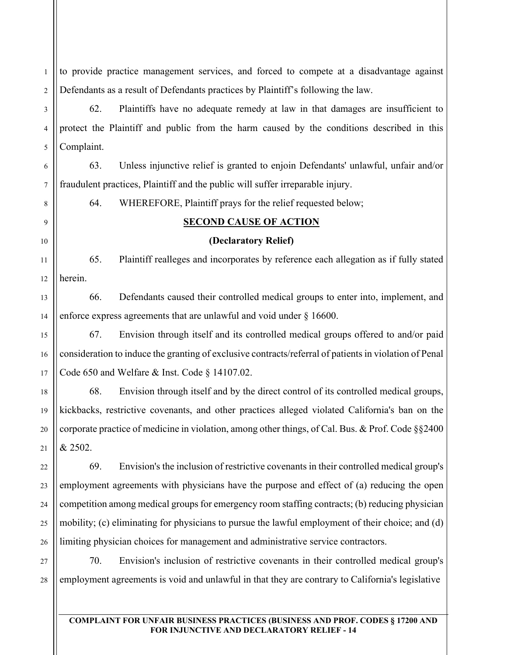to provide practice management services, and forced to compete at a disadvantage against Defendants as a result of Defendants practices by Plaintiff's following the law.

62. Plaintiffs have no adequate remedy at law in that damages are insufficient to protect the Plaintiff and public from the harm caused by the conditions described in this Complaint.

63. Unless injunctive relief is granted to enjoin Defendants' unlawful, unfair and/or fraudulent practices, Plaintiff and the public will suffer irreparable injury.

64. WHEREFORE, Plaintiff prays for the relief requested below;

## **SECOND CAUSE OF ACTION**

## **(Declaratory Relief)**

65. Plaintiff realleges and incorporates by reference each allegation as if fully stated herein.

66. Defendants caused their controlled medical groups to enter into, implement, and enforce express agreements that are unlawful and void under § 16600.

67. Envision through itself and its controlled medical groups offered to and/or paid consideration to induce the granting of exclusive contracts/referral of patients in violation of Penal Code 650 and Welfare & Inst. Code § 14107.02.

68. Envision through itself and by the direct control of its controlled medical groups, kickbacks, restrictive covenants, and other practices alleged violated California's ban on the corporate practice of medicine in violation, among other things, of Cal. Bus. & Prof. Code §§2400 & 2502.

69. Envision's the inclusion of restrictive covenants in their controlled medical group's employment agreements with physicians have the purpose and effect of (a) reducing the open competition among medical groups for emergency room staffing contracts; (b) reducing physician mobility; (c) eliminating for physicians to pursue the lawful employment of their choice; and (d) limiting physician choices for management and administrative service contractors.

28 70. Envision's inclusion of restrictive covenants in their controlled medical group's employment agreements is void and unlawful in that they are contrary to California's legislative

#### **COMPLAINT FOR UNFAIR BUSINESS PRACTICES (BUSINESS AND PROF. CODES § 17200 AND FOR INJUNCTIVE AND DECLARATORY RELIEF - 14**

1

2

3

4

5

6

7

8

9

10

11

12

13

14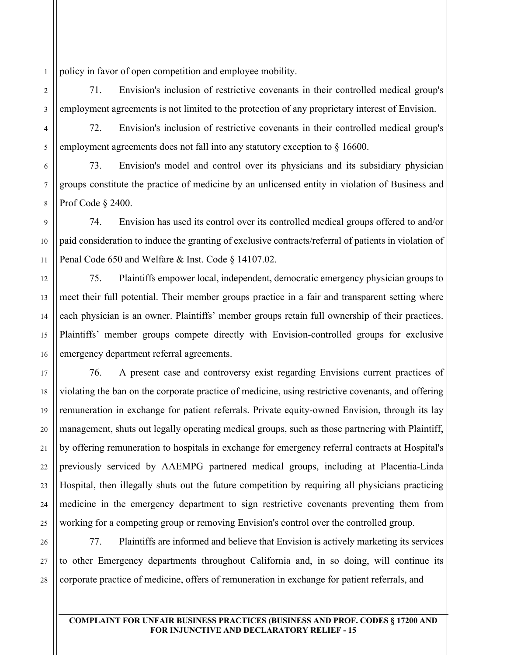1 policy in favor of open competition and employee mobility.

71. Envision's inclusion of restrictive covenants in their controlled medical group's employment agreements is not limited to the protection of any proprietary interest of Envision.

72. Envision's inclusion of restrictive covenants in their controlled medical group's employment agreements does not fall into any statutory exception to  $\S 16600$ .

73. Envision's model and control over its physicians and its subsidiary physician groups constitute the practice of medicine by an unlicensed entity in violation of Business and Prof Code § 2400.

74. Envision has used its control over its controlled medical groups offered to and/or paid consideration to induce the granting of exclusive contracts/referral of patients in violation of Penal Code 650 and Welfare & Inst. Code § 14107.02.

75. Plaintiffs empower local, independent, democratic emergency physician groups to meet their full potential. Their member groups practice in a fair and transparent setting where each physician is an owner. Plaintiffs' member groups retain full ownership of their practices. Plaintiffs' member groups compete directly with Envision-controlled groups for exclusive emergency department referral agreements.

76. A present case and controversy exist regarding Envisions current practices of violating the ban on the corporate practice of medicine, using restrictive covenants, and offering remuneration in exchange for patient referrals. Private equity-owned Envision, through its lay management, shuts out legally operating medical groups, such as those partnering with Plaintiff, by offering remuneration to hospitals in exchange for emergency referral contracts at Hospital's previously serviced by AAEMPG partnered medical groups, including at Placentia-Linda Hospital, then illegally shuts out the future competition by requiring all physicians practicing medicine in the emergency department to sign restrictive covenants preventing them from working for a competing group or removing Envision's control over the controlled group.

77. Plaintiffs are informed and believe that Envision is actively marketing its services to other Emergency departments throughout California and, in so doing, will continue its corporate practice of medicine, offers of remuneration in exchange for patient referrals, and

#### **COMPLAINT FOR UNFAIR BUSINESS PRACTICES (BUSINESS AND PROF. CODES § 17200 AND FOR INJUNCTIVE AND DECLARATORY RELIEF - 15**

2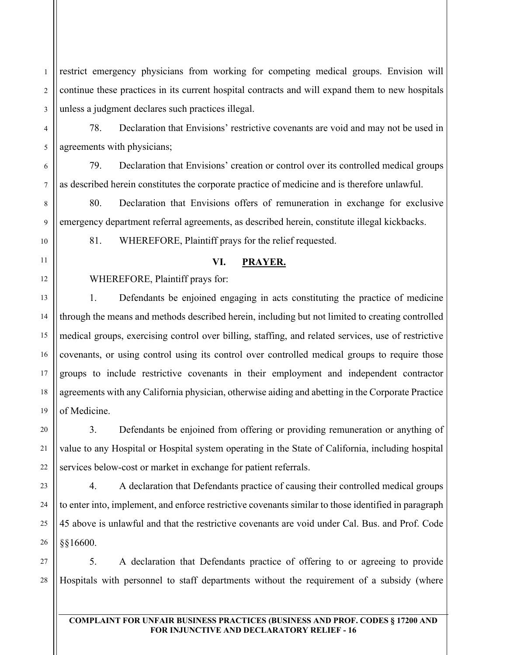1 2 3 restrict emergency physicians from working for competing medical groups. Envision will continue these practices in its current hospital contracts and will expand them to new hospitals unless a judgment declares such practices illegal.

78. Declaration that Envisions' restrictive covenants are void and may not be used in agreements with physicians;

79. Declaration that Envisions' creation or control over its controlled medical groups as described herein constitutes the corporate practice of medicine and is therefore unlawful.

80. Declaration that Envisions offers of remuneration in exchange for exclusive emergency department referral agreements, as described herein, constitute illegal kickbacks.

81. WHEREFORE, Plaintiff prays for the relief requested.

### **VI. PRAYER.**

WHEREFORE, Plaintiff prays for:

1. Defendants be enjoined engaging in acts constituting the practice of medicine through the means and methods described herein, including but not limited to creating controlled medical groups, exercising control over billing, staffing, and related services, use of restrictive covenants, or using control using its control over controlled medical groups to require those groups to include restrictive covenants in their employment and independent contractor agreements with any California physician, otherwise aiding and abetting in the Corporate Practice of Medicine.

3. Defendants be enjoined from offering or providing remuneration or anything of value to any Hospital or Hospital system operating in the State of California, including hospital services below-cost or market in exchange for patient referrals.

4. A declaration that Defendants practice of causing their controlled medical groups to enter into, implement, and enforce restrictive covenants similar to those identified in paragraph 45 above is unlawful and that the restrictive covenants are void under Cal. Bus. and Prof. Code §§16600.

28 5. A declaration that Defendants practice of offering to or agreeing to provide Hospitals with personnel to staff departments without the requirement of a subsidy (where

4